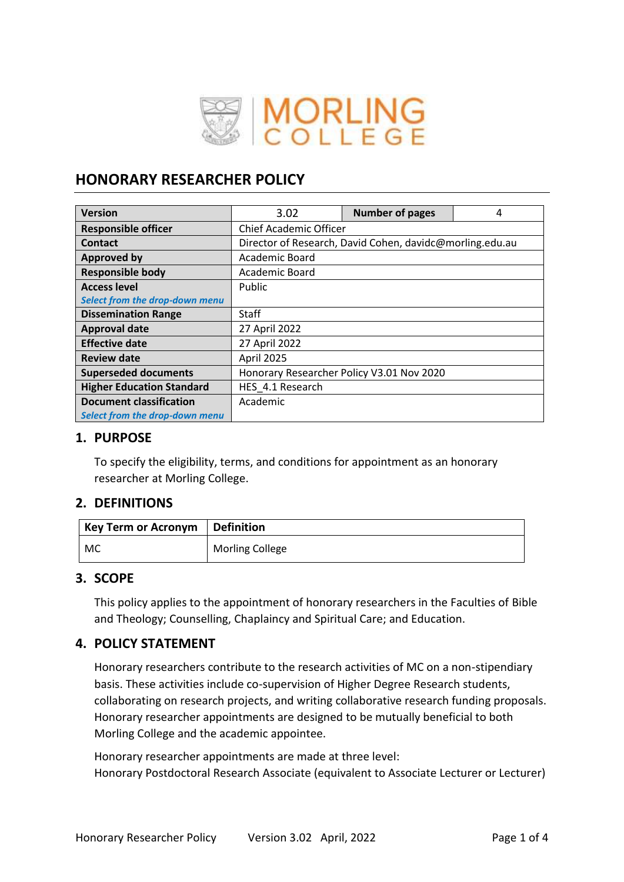

# **HONORARY RESEARCHER POLICY**

| <b>Version</b>                   | 3.02                                                     | <b>Number of pages</b> | 4 |  |  |
|----------------------------------|----------------------------------------------------------|------------------------|---|--|--|
| <b>Responsible officer</b>       | <b>Chief Academic Officer</b>                            |                        |   |  |  |
| <b>Contact</b>                   | Director of Research, David Cohen, davidc@morling.edu.au |                        |   |  |  |
| <b>Approved by</b>               | Academic Board                                           |                        |   |  |  |
| <b>Responsible body</b>          | Academic Board                                           |                        |   |  |  |
| <b>Access level</b>              | Public                                                   |                        |   |  |  |
| Select from the drop-down menu   |                                                          |                        |   |  |  |
| <b>Dissemination Range</b>       | Staff                                                    |                        |   |  |  |
| <b>Approval date</b>             | 27 April 2022                                            |                        |   |  |  |
| <b>Effective date</b>            | 27 April 2022                                            |                        |   |  |  |
| <b>Review date</b>               | April 2025                                               |                        |   |  |  |
| <b>Superseded documents</b>      | Honorary Researcher Policy V3.01 Nov 2020                |                        |   |  |  |
| <b>Higher Education Standard</b> | HES 4.1 Research                                         |                        |   |  |  |
| <b>Document classification</b>   | Academic                                                 |                        |   |  |  |
| Select from the drop-down menu   |                                                          |                        |   |  |  |

# **1. PURPOSE**

To specify the eligibility, terms, and conditions for appointment as an honorary researcher at Morling College.

# **2. DEFINITIONS**

| $\mid$ Key Term or Acronym $\mid$ Definition |                        |
|----------------------------------------------|------------------------|
| MC                                           | <b>Morling College</b> |

# **3. SCOPE**

This policy applies to the appointment of honorary researchers in the Faculties of Bible and Theology; Counselling, Chaplaincy and Spiritual Care; and Education.

# **4. POLICY STATEMENT**

Honorary researchers contribute to the research activities of MC on a non-stipendiary basis. These activities include co-supervision of Higher Degree Research students, collaborating on research projects, and writing collaborative research funding proposals. Honorary researcher appointments are designed to be mutually beneficial to both Morling College and the academic appointee.

Honorary researcher appointments are made at three level: Honorary Postdoctoral Research Associate (equivalent to Associate Lecturer or Lecturer)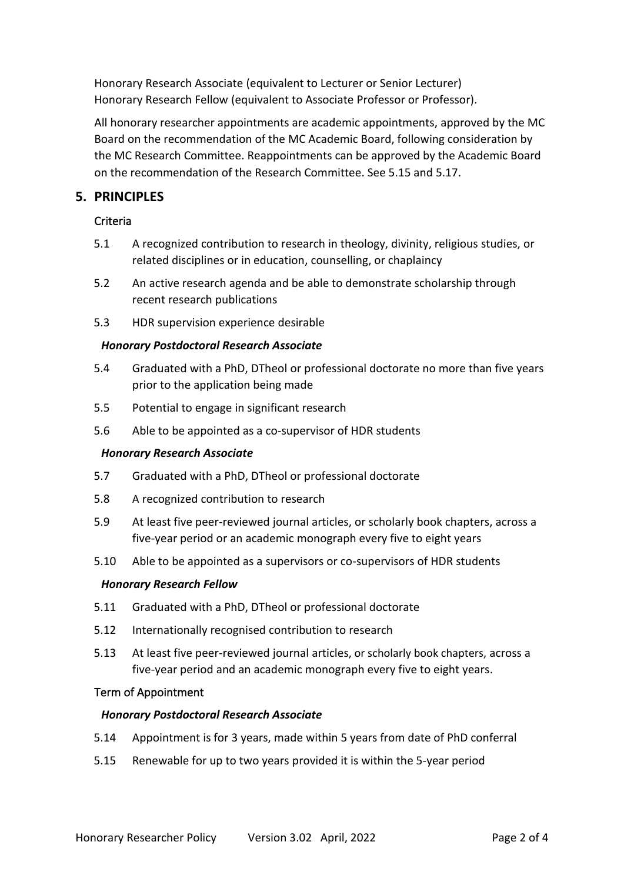Honorary Research Associate (equivalent to Lecturer or Senior Lecturer) Honorary Research Fellow (equivalent to Associate Professor or Professor).

All honorary researcher appointments are academic appointments, approved by the MC Board on the recommendation of the MC Academic Board, following consideration by the MC Research Committee. Reappointments can be approved by the Academic Board on the recommendation of the Research Committee. See 5.15 and 5.17.

# **5. PRINCIPLES**

### Criteria

- 5.1 A recognized contribution to research in theology, divinity, religious studies, or related disciplines or in education, counselling, or chaplaincy
- 5.2 An active research agenda and be able to demonstrate scholarship through recent research publications
- 5.3 HDR supervision experience desirable

### *Honorary Postdoctoral Research Associate*

- 5.4 Graduated with a PhD, DTheol or professional doctorate no more than five years prior to the application being made
- 5.5 Potential to engage in significant research
- 5.6 Able to be appointed as a co-supervisor of HDR students

#### *Honorary Research Associate*

- 5.7 Graduated with a PhD, DTheol or professional doctorate
- 5.8 A recognized contribution to research
- 5.9 At least five peer-reviewed journal articles, or scholarly book chapters, across a five-year period or an academic monograph every five to eight years
- 5.10 Able to be appointed as a supervisors or co-supervisors of HDR students

#### *Honorary Research Fellow*

- 5.11 Graduated with a PhD, DTheol or professional doctorate
- 5.12 Internationally recognised contribution to research
- 5.13 At least five peer-reviewed journal articles, or scholarly book chapters, across a five-year period and an academic monograph every five to eight years.

#### Term of Appointment

#### *Honorary Postdoctoral Research Associate*

- 5.14 Appointment is for 3 years, made within 5 years from date of PhD conferral
- 5.15 Renewable for up to two years provided it is within the 5-year period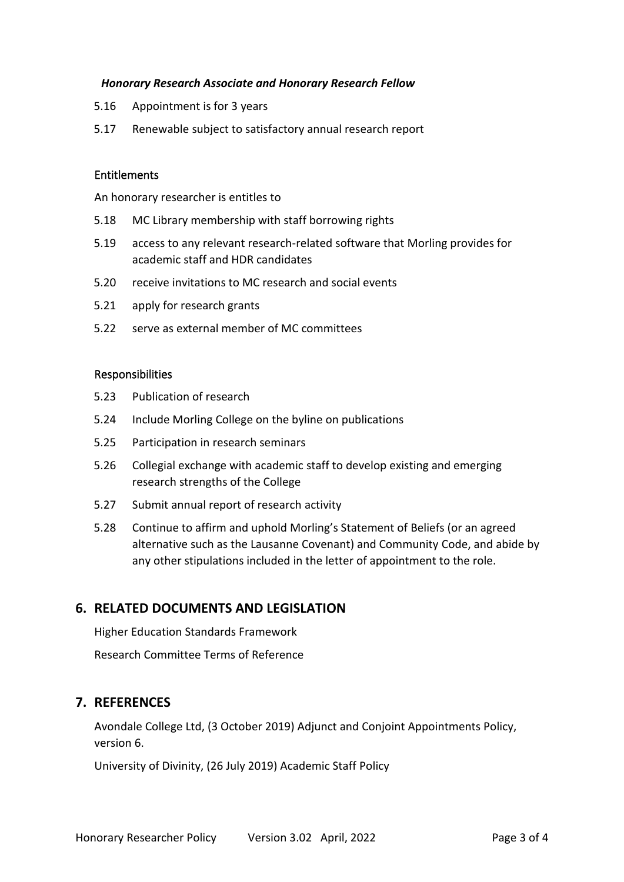#### *Honorary Research Associate and Honorary Research Fellow*

- 5.16 Appointment is for 3 years
- 5.17 Renewable subject to satisfactory annual research report

#### **Entitlements**

An honorary researcher is entitles to

- 5.18 MC Library membership with staff borrowing rights
- 5.19 access to any relevant research-related software that Morling provides for academic staff and HDR candidates
- 5.20 receive invitations to MC research and social events
- 5.21 apply for research grants
- 5.22 serve as external member of MC committees

#### Responsibilities

- 5.23 Publication of research
- 5.24 Include Morling College on the byline on publications
- 5.25 Participation in research seminars
- 5.26 Collegial exchange with academic staff to develop existing and emerging research strengths of the College
- 5.27 Submit annual report of research activity
- 5.28 Continue to affirm and uphold Morling's Statement of Beliefs (or an agreed alternative such as the Lausanne Covenant) and Community Code, and abide by any other stipulations included in the letter of appointment to the role.

### **6. RELATED DOCUMENTS AND LEGISLATION**

Higher Education Standards Framework Research Committee Terms of Reference

### **7. REFERENCES**

Avondale College Ltd, (3 October 2019) Adjunct and Conjoint Appointments Policy, version 6.

University of Divinity, (26 July 2019) Academic Staff Policy